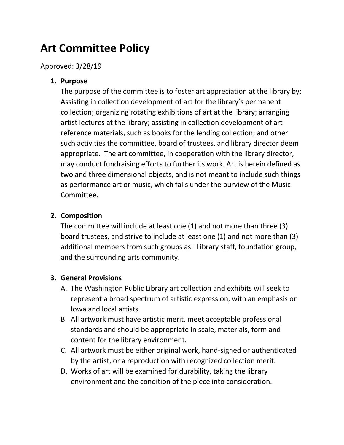# **Art Committee Policy**

Approved: 3/28/19

## **1. Purpose**

The purpose of the committee is to foster art appreciation at the library by: Assisting in collection development of art for the library's permanent collection; organizing rotating exhibitions of art at the library; arranging artist lectures at the library; assisting in collection development of art reference materials, such as books for the lending collection; and other such activities the committee, board of trustees, and library director deem appropriate. The art committee, in cooperation with the library director, may conduct fundraising efforts to further its work. Art is herein defined as two and three dimensional objects, and is not meant to include such things as performance art or music, which falls under the purview of the Music Committee.

## **2. Composition**

The committee will include at least one (1) and not more than three (3) board trustees, and strive to include at least one (1) and not more than (3) additional members from such groups as: Library staff, foundation group, and the surrounding arts community.

## **3. General Provisions**

- A. The Washington Public Library art collection and exhibits will seek to represent a broad spectrum of artistic expression, with an emphasis on Iowa and local artists.
- B. All artwork must have artistic merit, meet acceptable professional standards and should be appropriate in scale, materials, form and content for the library environment.
- C. All artwork must be either original work, hand-signed or authenticated by the artist, or a reproduction with recognized collection merit.
- D. Works of art will be examined for durability, taking the library environment and the condition of the piece into consideration.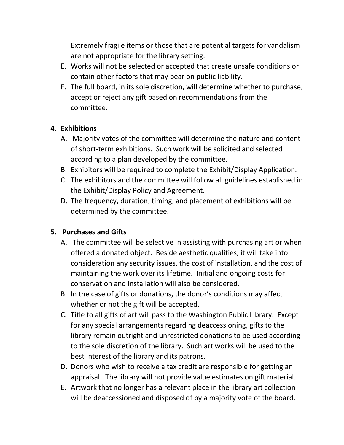Extremely fragile items or those that are potential targets for vandalism are not appropriate for the library setting.

- E. Works will not be selected or accepted that create unsafe conditions or contain other factors that may bear on public liability.
- F. The full board, in its sole discretion, will determine whether to purchase, accept or reject any gift based on recommendations from the committee.

# **4. Exhibitions**

- A. Majority votes of the committee will determine the nature and content of short-term exhibitions. Such work will be solicited and selected according to a plan developed by the committee.
- B. Exhibitors will be required to complete the Exhibit/Display Application.
- C. The exhibitors and the committee will follow all guidelines established in the Exhibit/Display Policy and Agreement.
- D. The frequency, duration, timing, and placement of exhibitions will be determined by the committee.

## **5. Purchases and Gifts**

- A. The committee will be selective in assisting with purchasing art or when offered a donated object. Beside aesthetic qualities, it will take into consideration any security issues, the cost of installation, and the cost of maintaining the work over its lifetime. Initial and ongoing costs for conservation and installation will also be considered.
- B. In the case of gifts or donations, the donor's conditions may affect whether or not the gift will be accepted.
- C. Title to all gifts of art will pass to the Washington Public Library. Except for any special arrangements regarding deaccessioning, gifts to the library remain outright and unrestricted donations to be used according to the sole discretion of the library. Such art works will be used to the best interest of the library and its patrons.
- D. Donors who wish to receive a tax credit are responsible for getting an appraisal. The library will not provide value estimates on gift material.
- E. Artwork that no longer has a relevant place in the library art collection will be deaccessioned and disposed of by a majority vote of the board,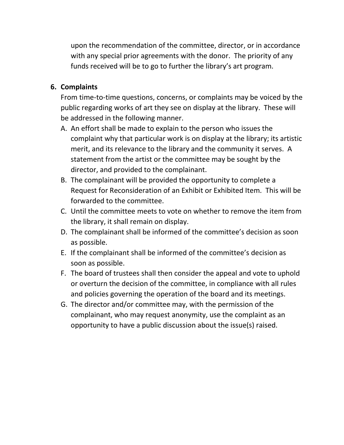upon the recommendation of the committee, director, or in accordance with any special prior agreements with the donor. The priority of any funds received will be to go to further the library's art program.

# **6. Complaints**

From time-to-time questions, concerns, or complaints may be voiced by the public regarding works of art they see on display at the library. These will be addressed in the following manner.

- A. An effort shall be made to explain to the person who issues the complaint why that particular work is on display at the library; its artistic merit, and its relevance to the library and the community it serves. A statement from the artist or the committee may be sought by the director, and provided to the complainant.
- B. The complainant will be provided the opportunity to complete a Request for Reconsideration of an Exhibit or Exhibited Item. This will be forwarded to the committee.
- C. Until the committee meets to vote on whether to remove the item from the library, it shall remain on display.
- D. The complainant shall be informed of the committee's decision as soon as possible.
- E. If the complainant shall be informed of the committee's decision as soon as possible.
- F. The board of trustees shall then consider the appeal and vote to uphold or overturn the decision of the committee, in compliance with all rules and policies governing the operation of the board and its meetings.
- G. The director and/or committee may, with the permission of the complainant, who may request anonymity, use the complaint as an opportunity to have a public discussion about the issue(s) raised.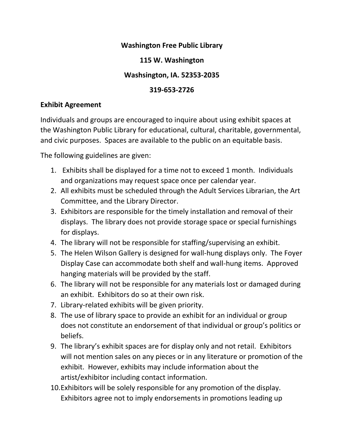#### **Washington Free Public Library**

## **115 W. Washington**

## **Washsington, IA. 52353-2035**

## **319-653-2726**

#### **Exhibit Agreement**

Individuals and groups are encouraged to inquire about using exhibit spaces at the Washington Public Library for educational, cultural, charitable, governmental, and civic purposes. Spaces are available to the public on an equitable basis.

The following guidelines are given:

- 1. Exhibits shall be displayed for a time not to exceed 1 month. Individuals and organizations may request space once per calendar year.
- 2. All exhibits must be scheduled through the Adult Services Librarian, the Art Committee, and the Library Director.
- 3. Exhibitors are responsible for the timely installation and removal of their displays. The library does not provide storage space or special furnishings for displays.
- 4. The library will not be responsible for staffing/supervising an exhibit.
- 5. The Helen Wilson Gallery is designed for wall-hung displays only. The Foyer Display Case can accommodate both shelf and wall-hung items. Approved hanging materials will be provided by the staff.
- 6. The library will not be responsible for any materials lost or damaged during an exhibit. Exhibitors do so at their own risk.
- 7. Library-related exhibits will be given priority.
- 8. The use of library space to provide an exhibit for an individual or group does not constitute an endorsement of that individual or group's politics or beliefs.
- 9. The library's exhibit spaces are for display only and not retail. Exhibitors will not mention sales on any pieces or in any literature or promotion of the exhibit. However, exhibits may include information about the artist/exhibitor including contact information.
- 10.Exhibitors will be solely responsible for any promotion of the display. Exhibitors agree not to imply endorsements in promotions leading up